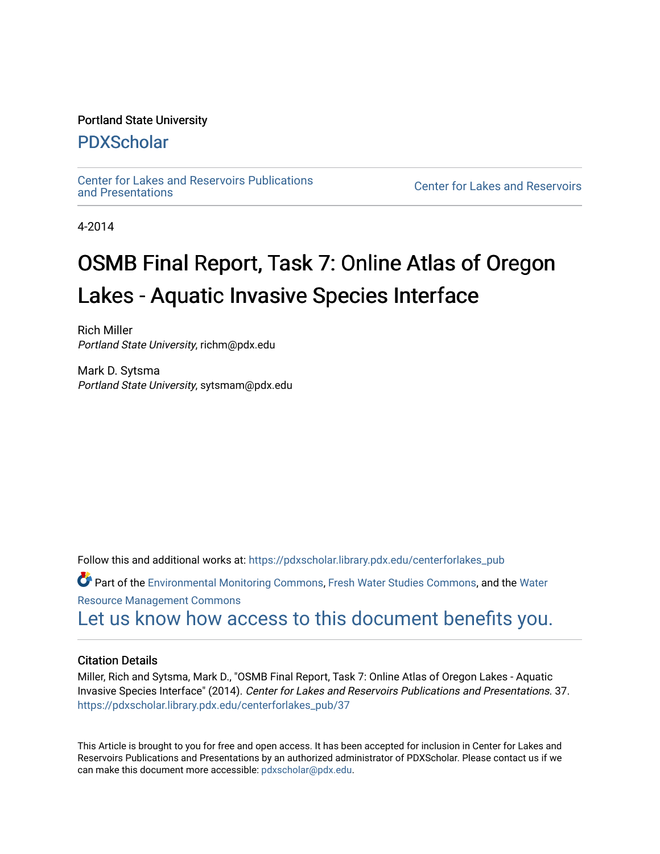#### Portland State University

#### [PDXScholar](https://pdxscholar.library.pdx.edu/)

[Center for Lakes and Reservoirs Publications](https://pdxscholar.library.pdx.edu/centerforlakes_pub) 

**Center for Lakes and Reservoirs** 

4-2014

# OSMB Final Report, Task 7: Online Atlas of Oregon Lakes - Aquatic Invasive Species Interface

Rich Miller Portland State University, richm@pdx.edu

Mark D. Sytsma Portland State University, sytsmam@pdx.edu

Follow this and additional works at: [https://pdxscholar.library.pdx.edu/centerforlakes\\_pub](https://pdxscholar.library.pdx.edu/centerforlakes_pub?utm_source=pdxscholar.library.pdx.edu%2Fcenterforlakes_pub%2F37&utm_medium=PDF&utm_campaign=PDFCoverPages)

Part of the [Environmental Monitoring Commons](http://network.bepress.com/hgg/discipline/931?utm_source=pdxscholar.library.pdx.edu%2Fcenterforlakes_pub%2F37&utm_medium=PDF&utm_campaign=PDFCoverPages), [Fresh Water Studies Commons](http://network.bepress.com/hgg/discipline/189?utm_source=pdxscholar.library.pdx.edu%2Fcenterforlakes_pub%2F37&utm_medium=PDF&utm_campaign=PDFCoverPages), and the [Water](http://network.bepress.com/hgg/discipline/1057?utm_source=pdxscholar.library.pdx.edu%2Fcenterforlakes_pub%2F37&utm_medium=PDF&utm_campaign=PDFCoverPages) [Resource Management Commons](http://network.bepress.com/hgg/discipline/1057?utm_source=pdxscholar.library.pdx.edu%2Fcenterforlakes_pub%2F37&utm_medium=PDF&utm_campaign=PDFCoverPages) 

[Let us know how access to this document benefits you.](http://library.pdx.edu/services/pdxscholar-services/pdxscholar-feedback/?ref=https://pdxscholar.library.pdx.edu/centerforlakes_pub/37) 

#### Citation Details

Miller, Rich and Sytsma, Mark D., "OSMB Final Report, Task 7: Online Atlas of Oregon Lakes - Aquatic Invasive Species Interface" (2014). Center for Lakes and Reservoirs Publications and Presentations. 37. [https://pdxscholar.library.pdx.edu/centerforlakes\\_pub/37](https://pdxscholar.library.pdx.edu/centerforlakes_pub/37?utm_source=pdxscholar.library.pdx.edu%2Fcenterforlakes_pub%2F37&utm_medium=PDF&utm_campaign=PDFCoverPages) 

This Article is brought to you for free and open access. It has been accepted for inclusion in Center for Lakes and Reservoirs Publications and Presentations by an authorized administrator of PDXScholar. Please contact us if we can make this document more accessible: [pdxscholar@pdx.edu.](mailto:pdxscholar@pdx.edu)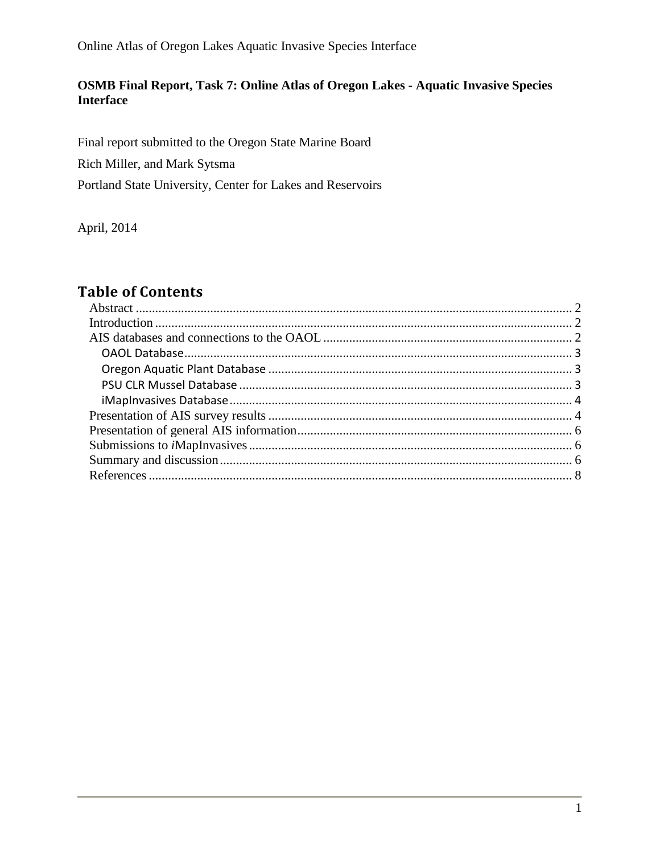Online Atlas of Oregon Lakes Aquatic Invasive Species Interface

#### **OSMB Final Report, Task 7: Online Atlas of Oregon Lakes - Aquatic Invasive Species Interface**

Final report submitted to the Oregon State Marine Board

Rich Miller, and Mark Sytsma

Portland State University, Center for Lakes and Reservoirs

April, 2014

## **Table of Contents**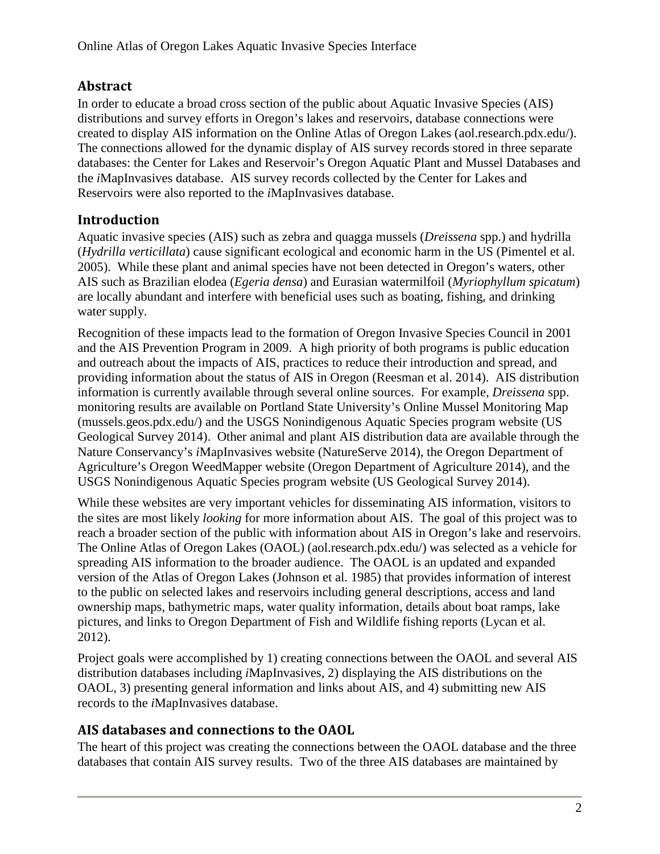### <span id="page-2-0"></span>**Abstract**

In order to educate a broad cross section of the public about Aquatic Invasive Species (AIS) distributions and survey efforts in Oregon's lakes and reservoirs, database connections were created to display AIS information on the Online Atlas of Oregon Lakes (aol.research.pdx.edu/). The connections allowed for the dynamic display of AIS survey records stored in three separate databases: the Center for Lakes and Reservoir's Oregon Aquatic Plant and Mussel Databases and the *i*MapInvasives database. AIS survey records collected by the Center for Lakes and Reservoirs were also reported to the *i*MapInvasives database.

## <span id="page-2-1"></span>**Introduction**

Aquatic invasive species (AIS) such as zebra and quagga mussels (*Dreissena* spp.) and hydrilla (*Hydrilla verticillata*) cause significant ecological and economic harm in the US (Pimentel et al. 2005). While these plant and animal species have not been detected in Oregon's waters, other AIS such as Brazilian elodea (*Egeria densa*) and Eurasian watermilfoil (*Myriophyllum spicatum*) are locally abundant and interfere with beneficial uses such as boating, fishing, and drinking water supply.

Recognition of these impacts lead to the formation of Oregon Invasive Species Council in 2001 and the AIS Prevention Program in 2009. A high priority of both programs is public education and outreach about the impacts of AIS, practices to reduce their introduction and spread, and providing information about the status of AIS in Oregon (Reesman et al. 2014). AIS distribution information is currently available through several online sources. For example, *Dreissena* spp. monitoring results are available on Portland State University's Online Mussel Monitoring Map (mussels.geos.pdx.edu/) and the USGS Nonindigenous Aquatic Species program website (US Geological Survey 2014). Other animal and plant AIS distribution data are available through the Nature Conservancy's *i*MapInvasives website (NatureServe 2014), the Oregon Department of Agriculture's Oregon WeedMapper website (Oregon Department of Agriculture 2014), and the USGS Nonindigenous Aquatic Species program website (US Geological Survey 2014).

While these websites are very important vehicles for disseminating AIS information, visitors to the sites are most likely *looking* for more information about AIS. The goal of this project was to reach a broader section of the public with information about AIS in Oregon's lake and reservoirs. The Online Atlas of Oregon Lakes (OAOL) (aol.research.pdx.edu/) was selected as a vehicle for spreading AIS information to the broader audience. The OAOL is an updated and expanded version of the Atlas of Oregon Lakes (Johnson et al. 1985) that provides information of interest to the public on selected lakes and reservoirs including general descriptions, access and land ownership maps, bathymetric maps, water quality information, details about boat ramps, lake pictures, and links to Oregon Department of Fish and Wildlife fishing reports (Lycan et al. 2012).

Project goals were accomplished by 1) creating connections between the OAOL and several AIS distribution databases including *i*MapInvasives, 2) displaying the AIS distributions on the OAOL, 3) presenting general information and links about AIS, and 4) submitting new AIS records to the *i*MapInvasives database.

## <span id="page-2-2"></span>**AIS databases and connections to the OAOL**

The heart of this project was creating the connections between the OAOL database and the three databases that contain AIS survey results. Two of the three AIS databases are maintained by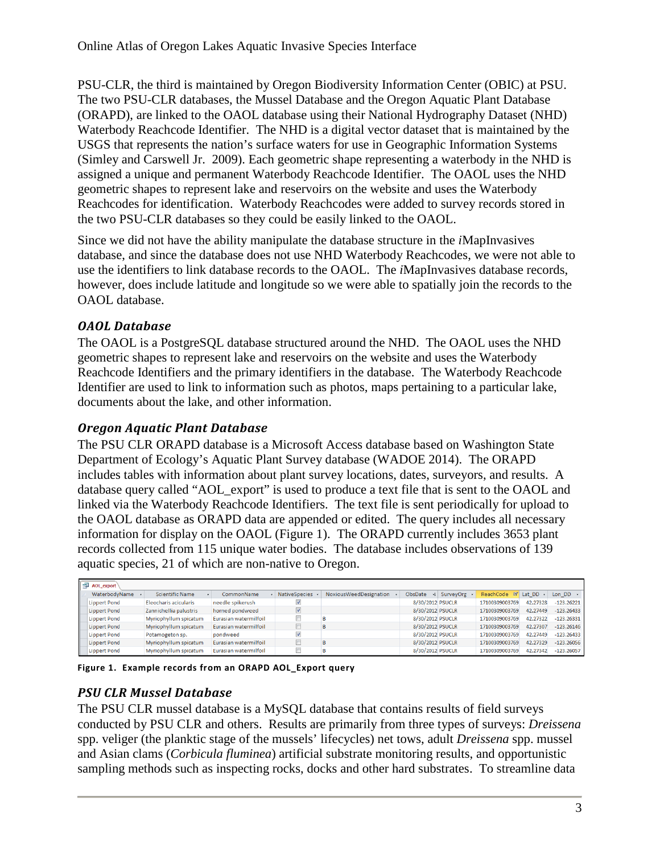PSU-CLR, the third is maintained by Oregon Biodiversity Information Center (OBIC) at PSU. The two PSU-CLR databases, the Mussel Database and the Oregon Aquatic Plant Database (ORAPD), are linked to the OAOL database using their National Hydrography Dataset (NHD) Waterbody Reachcode Identifier. The NHD is a digital vector dataset that is maintained by the USGS that represents the nation's surface waters for use in Geographic Information Systems (Simley and Carswell Jr. 2009). Each geometric shape representing a waterbody in the NHD is assigned a unique and permanent Waterbody Reachcode Identifier. The OAOL uses the NHD geometric shapes to represent lake and reservoirs on the website and uses the Waterbody Reachcodes for identification. Waterbody Reachcodes were added to survey records stored in the two PSU-CLR databases so they could be easily linked to the OAOL.

Since we did not have the ability manipulate the database structure in the *i*MapInvasives database, and since the database does not use NHD Waterbody Reachcodes, we were not able to use the identifiers to link database records to the OAOL. The *i*MapInvasives database records, however, does include latitude and longitude so we were able to spatially join the records to the OAOL database.

### <span id="page-3-0"></span>*OAOL Database*

The OAOL is a PostgreSQL database structured around the NHD. The OAOL uses the NHD geometric shapes to represent lake and reservoirs on the website and uses the Waterbody Reachcode Identifiers and the primary identifiers in the database. The Waterbody Reachcode Identifier are used to link to information such as photos, maps pertaining to a particular lake, documents about the lake, and other information.

#### <span id="page-3-1"></span>*Oregon Aquatic Plant Database*

The PSU CLR ORAPD database is a Microsoft Access database based on Washington State Department of Ecology's Aquatic Plant Survey database (WADOE 2014). The ORAPD includes tables with information about plant survey locations, dates, surveyors, and results. A database query called "AOL\_export" is used to produce a text file that is sent to the OAOL and linked via the Waterbody Reachcode Identifiers. The text file is sent periodically for upload to the OAOL database as ORAPD data are appended or edited. The query includes all necessary information for display on the OAOL [\(Figure 1\)](#page-3-3). The ORAPD currently includes 3653 plant records collected from 115 unique water bodies. The database includes observations of 139 aquatic species, 21 of which are non-native to Oregon.

| AOL export |                     |                              |                              |                         |                        |                                 |  |                    |          |                      |
|------------|---------------------|------------------------------|------------------------------|-------------------------|------------------------|---------------------------------|--|--------------------|----------|----------------------|
|            | WaterbodyName       | <b>Scientific Name</b><br>÷. | CommonName                   | <b>NativeSpecies</b>    | NoxiousWeedDesignation | ObsDate $\mathcal{H}$ SurveyOrg |  | ReachCode W Lat DD |          | Lon $DD \rightarrow$ |
|            | <b>Lippert Pond</b> | Eleocharis acicularis        | needle spikerush             | $\blacktriangledown$    |                        | 8/30/2012 PSUCLR                |  | 17100309003769     | 42.27328 | $-123.26221$         |
|            | <b>Lippert Pond</b> | Zannichellia palustris       | horned pondweed              | $\triangledown$         |                        | 8/30/2012 PSUCLR                |  | 17100309003769     | 42,27449 | $-123.26433$         |
|            | Lippert Pond        | Myriophyllum spicatum        | <b>Eurasian watermilfoil</b> |                         |                        | 8/30/2012 PSUCLR                |  | 17100309003769     | 42.27322 | $-123.26331$         |
|            | <b>Lippert Pond</b> | Myriophyllum spicatum        | Eurasian watermilfoil        |                         | B                      | 8/30/2012 PSUCLR                |  | 17100309003769     | 42,27307 | $-123.26146$         |
|            | <b>Lippert Pond</b> | Potamogeton sp.              | pondweed                     | $\overline{\mathsf{v}}$ |                        | 8/30/2012 PSUCLR                |  | 17100309003769     | 42,27449 | $-123,26433$         |
|            | Lippert Pond        | Myriophyllum spicatum        | Eurasian watermilfoil        |                         | R                      | 8/30/2012 PSUCLR                |  | 17100309003769     | 42,27329 | $-123.26056$         |
|            | <b>Lippert Pond</b> | Myriophyllum spicatum        | Eurasian watermilfoil        |                         | B                      | 8/30/2012 PSUCLR                |  | 17100309003769     | 42,27342 | $-123.26057$         |

<span id="page-3-3"></span>**Figure 1. Example records from an ORAPD AOL\_Export query** 

#### <span id="page-3-2"></span>*PSU CLR Mussel Database*

The PSU CLR mussel database is a MySQL database that contains results of field surveys conducted by PSU CLR and others. Results are primarily from three types of surveys: *Dreissena* spp. veliger (the planktic stage of the mussels' lifecycles) net tows, adult *Dreissena* spp. mussel and Asian clams (*Corbicula fluminea*) artificial substrate monitoring results, and opportunistic sampling methods such as inspecting rocks, docks and other hard substrates. To streamline data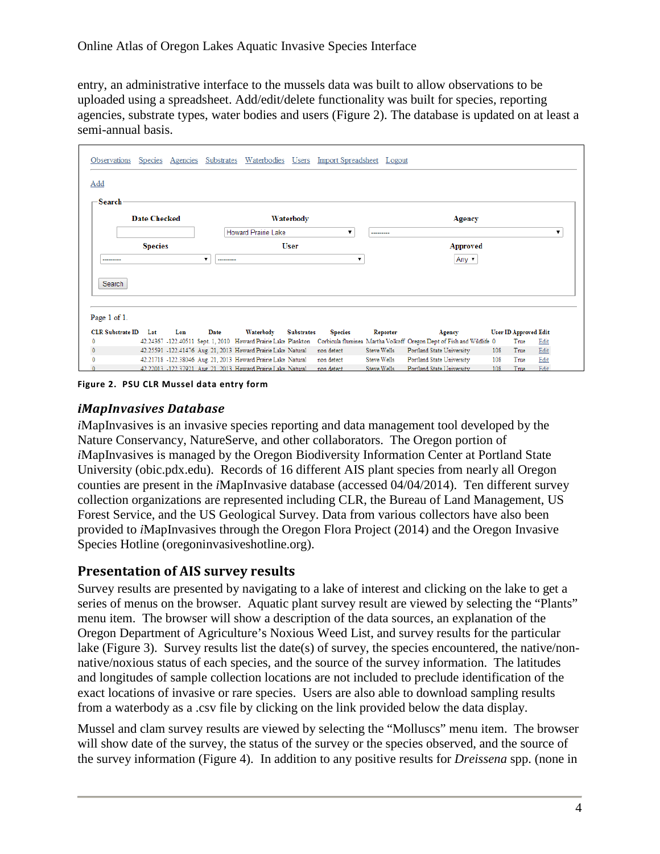entry, an administrative interface to the mussels data was built to allow observations to be uploaded using a spreadsheet. Add/edit/delete functionality was built for species, reporting agencies, substrate types, water bodies and users [\(Figure 2\)](#page-4-2). The database is updated on at least a semi-annual basis.

| Add<br>-Search<br><b>Date Checked</b><br>Waterbody<br>Agency<br><b>Howard Prairie Lake</b><br>---------<br><b>Species</b><br><b>User</b><br><b>Approved</b><br>Any ▼<br>▼<br>---------<br><br>Search<br>Page 1 of 1.<br><b>CLR Substrate ID</b><br>Lon<br>Date<br>Waterbody<br><b>User ID Approved Edit</b><br>Lat<br><b>Substrates</b><br><b>Species</b><br>Reporter<br>Agency | ▼    |
|---------------------------------------------------------------------------------------------------------------------------------------------------------------------------------------------------------------------------------------------------------------------------------------------------------------------------------------------------------------------------------|------|
|                                                                                                                                                                                                                                                                                                                                                                                 |      |
|                                                                                                                                                                                                                                                                                                                                                                                 |      |
|                                                                                                                                                                                                                                                                                                                                                                                 |      |
|                                                                                                                                                                                                                                                                                                                                                                                 |      |
|                                                                                                                                                                                                                                                                                                                                                                                 |      |
|                                                                                                                                                                                                                                                                                                                                                                                 |      |
|                                                                                                                                                                                                                                                                                                                                                                                 |      |
|                                                                                                                                                                                                                                                                                                                                                                                 |      |
|                                                                                                                                                                                                                                                                                                                                                                                 |      |
|                                                                                                                                                                                                                                                                                                                                                                                 |      |
|                                                                                                                                                                                                                                                                                                                                                                                 |      |
| 42.24367 -122.40511 Sept. 1, 2010 Howard Prairie Lake Plankton Corbicula fluminea Martha Volkoff Oregon Dept of Fish and Wildlife 0<br>True                                                                                                                                                                                                                                     |      |
| 42.25591 -122.41476 Aug. 21, 2013 Howard Prairie Lake Natural<br><b>Steve Wells</b><br>non detect<br>Portland State University<br>108<br>True                                                                                                                                                                                                                                   | Edit |
| 42.21718 -122.38046 Aug. 21, 2013 Howard Prairie Lake Natural<br>Edit<br><b>Steve Wells</b><br>Portland State University<br>108<br>non detect<br>True<br>42.22013 -122.37921 Aug. 21, 2013 Howard Prairie Lake Natural<br>Portland State University<br>Steve Wells<br>108<br>Edit                                                                                               | Edit |

<span id="page-4-2"></span>**Figure 2. PSU CLR Mussel data entry form**

#### <span id="page-4-0"></span>*iMapInvasives Database*

*i*MapInvasives is an invasive species reporting and data management tool developed by the Nature Conservancy, NatureServe, and other collaborators. The Oregon portion of *i*MapInvasives is managed by the Oregon Biodiversity Information Center at Portland State University (obic.pdx.edu). Records of 16 different AIS plant species from nearly all Oregon counties are present in the *i*MapInvasive database (accessed 04/04/2014). Ten different survey collection organizations are represented including CLR, the Bureau of Land Management, US Forest Service, and the US Geological Survey. Data from various collectors have also been provided to *i*MapInvasives through the Oregon Flora Project (2014) and the Oregon Invasive Species Hotline (oregoninvasiveshotline.org).

#### <span id="page-4-1"></span>**Presentation of AIS survey results**

Survey results are presented by navigating to a lake of interest and clicking on the lake to get a series of menus on the browser. Aquatic plant survey result are viewed by selecting the "Plants" menu item. The browser will show a description of the data sources, an explanation of the Oregon Department of Agriculture's Noxious Weed List, and survey results for the particular lake [\(Figure 3\)](#page-5-0). Survey results list the date(s) of survey, the species encountered, the native/nonnative/noxious status of each species, and the source of the survey information. The latitudes and longitudes of sample collection locations are not included to preclude identification of the exact locations of invasive or rare species. Users are also able to download sampling results from a waterbody as a .csv file by clicking on the link provided below the data display.

Mussel and clam survey results are viewed by selecting the "Molluscs" menu item. The browser will show date of the survey, the status of the survey or the species observed, and the source of the survey information [\(Figure 4\)](#page-6-3). In addition to any positive results for *Dreissena* spp. (none in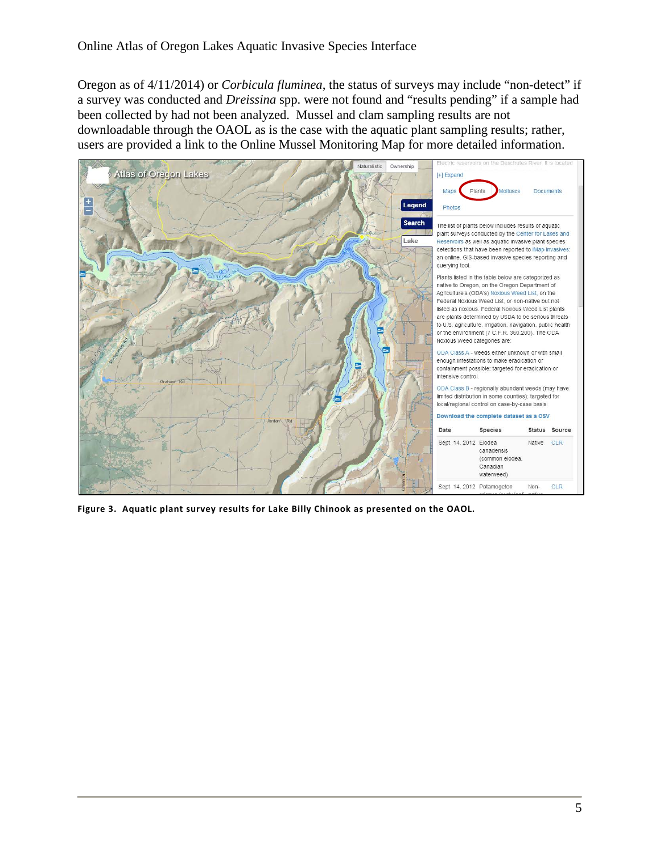Oregon as of 4/11/2014) or *Corbicula fluminea*, the status of surveys may include "non-detect" if a survey was conducted and *Dreissina* spp. were not found and "results pending" if a sample had been collected by had not been analyzed. Mussel and clam sampling results are not downloadable through the OAOL as is the case with the aquatic plant sampling results; rather, users are provided a link to the Online Mussel Monitoring Map for more detailed information.



<span id="page-5-0"></span>**Figure 3. Aquatic plant survey results for Lake Billy Chinook as presented on the OAOL.**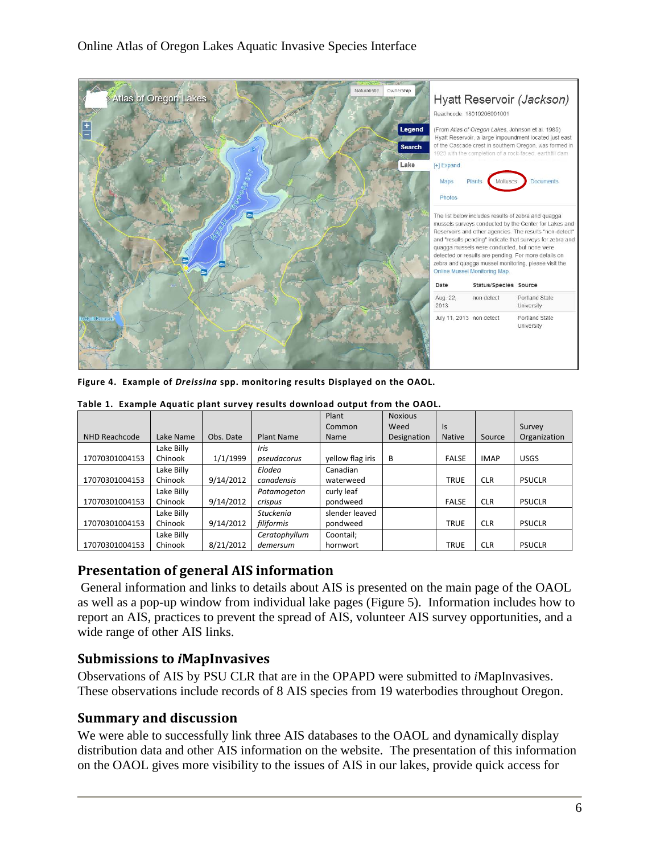

<span id="page-6-3"></span>**Figure 4. Example of** *Dreissina* **spp. monitoring results Displayed on the OAOL.**

|                |            |           |                   | Plant            | <b>Noxious</b> |               |             |               |
|----------------|------------|-----------|-------------------|------------------|----------------|---------------|-------------|---------------|
|                |            |           |                   | Common           | Weed           | Is            |             | Survey        |
| NHD Reachcode  | Lake Name  | Obs. Date | <b>Plant Name</b> | Name             | Designation    | <b>Native</b> | Source      | Organization  |
|                | Lake Billy |           | Iris              |                  |                |               |             |               |
| 17070301004153 | Chinook    | 1/1/1999  | pseudacorus       | yellow flag iris | B              | <b>FALSE</b>  | <b>IMAP</b> | <b>USGS</b>   |
|                | Lake Billy |           | Elodea            | Canadian         |                |               |             |               |
| 17070301004153 | Chinook    | 9/14/2012 | canadensis        | waterweed        |                | <b>TRUE</b>   | <b>CLR</b>  | <b>PSUCLR</b> |
|                | Lake Billy |           | Potamogeton       | curly leaf       |                |               |             |               |
| 17070301004153 | Chinook    | 9/14/2012 | crispus           | pondweed         |                | <b>FALSE</b>  | <b>CLR</b>  | <b>PSUCLR</b> |
|                | Lake Billy |           | <b>Stuckenia</b>  | slender leaved   |                |               |             |               |
| 17070301004153 | Chinook    | 9/14/2012 | filiformis        | pondweed         |                | <b>TRUE</b>   | <b>CLR</b>  | <b>PSUCLR</b> |
|                | Lake Billy |           | Ceratophyllum     | Coontail;        |                |               |             |               |
| 17070301004153 | Chinook    | 8/21/2012 | demersum          | hornwort         |                | <b>TRUE</b>   | <b>CLR</b>  | <b>PSUCLR</b> |

**Table 1. Example Aquatic plant survey results download output from the OAOL.**

#### <span id="page-6-0"></span>**Presentation of general AIS information**

General information and links to details about AIS is presented on the main page of the OAOL as well as a pop-up window from individual lake pages [\(Figure 5\)](#page-7-0). Information includes how to report an AIS, practices to prevent the spread of AIS, volunteer AIS survey opportunities, and a wide range of other AIS links.

#### <span id="page-6-1"></span>**Submissions to** *i***MapInvasives**

Observations of AIS by PSU CLR that are in the OPAPD were submitted to *i*MapInvasives. These observations include records of 8 AIS species from 19 waterbodies throughout Oregon.

#### <span id="page-6-2"></span>**Summary and discussion**

We were able to successfully link three AIS databases to the OAOL and dynamically display distribution data and other AIS information on the website. The presentation of this information on the OAOL gives more visibility to the issues of AIS in our lakes, provide quick access for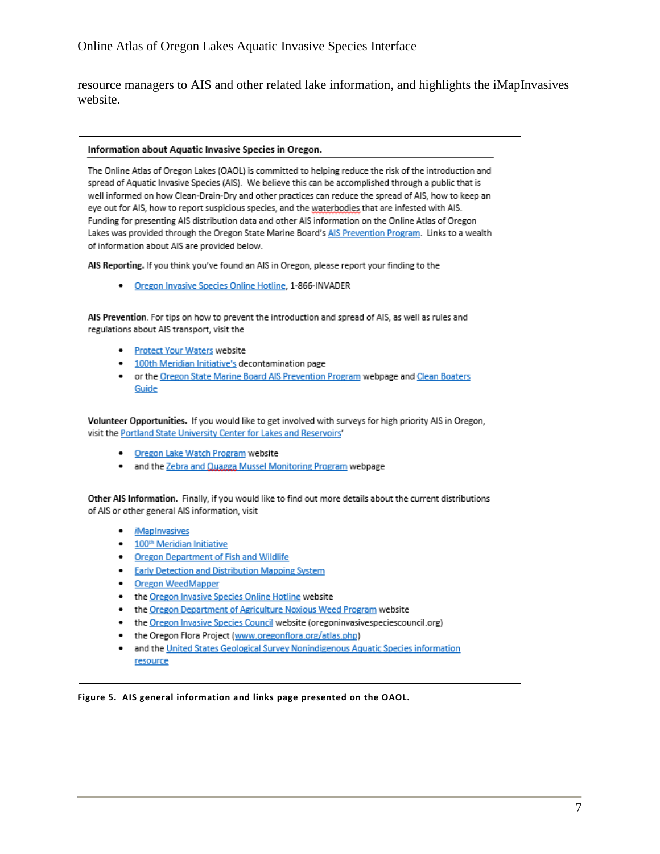resource managers to AIS and other related lake information, and highlights the iMapInvasives website.

#### Information about Aquatic Invasive Species in Oregon.

The Online Atlas of Oregon Lakes (OAOL) is committed to helping reduce the risk of the introduction and spread of Aquatic Invasive Species (AIS). We believe this can be accomplished through a public that is well informed on how Clean-Drain-Dry and other practices can reduce the spread of AIS, how to keep an eye out for AIS, how to report suspicious species, and the waterbodies that are infested with AIS. Funding for presenting AIS distribution data and other AIS information on the Online Atlas of Oregon Lakes was provided through the Oregon State Marine Board's AIS Prevention Program. Links to a wealth of information about AIS are provided below.

AIS Reporting. If you think you've found an AIS in Oregon, please report your finding to the

Oregon Invasive Species Online Hotline, 1-866-INVADER .

AIS Prevention. For tips on how to prevent the introduction and spread of AIS, as well as rules and regulations about AIS transport, visit the

- · Protect Your Waters website
- 100th Meridian Initiative's decontamination page
- . or the Oregon State Marine Board AIS Prevention Program webpage and Clean Boaters Guide

Volunteer Opportunities. If you would like to get involved with surveys for high priority AIS in Oregon, visit the Portland State University Center for Lakes and Reservoirs'

- Oregon Lake Watch Program website
- . and the Zebra and Quagga Mussel Monitoring Program webpage

Other AIS Information. Finally, if you would like to find out more details about the current distributions of AIS or other general AIS information, visit

- . *MapInvasives*
- 100<sup>th</sup> Meridian Initiative
- . **Oregon Department of Fish and Wildlife**
- **Early Detection and Distribution Mapping System**  $\bullet$
- . **Oregon WeedMapper**
- the Oregon Invasive Species Online Hotline website
- . the Oregon Department of Agriculture Noxious Weed Program website
- the Oregon Invasive Species Council website (oregoninvasivespeciescouncil.org) .
- the Oregon Flora Project (www.oregonflora.org/atlas.php)
- and the United States Geological Survey Nonindigenous Aquatic Species information resource

<span id="page-7-0"></span>Figure 5. AIS general information and links page presented on the OAOL.